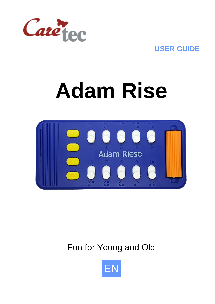

**USER GUIDE**

# **Adam Rise**



Fun for Young and Old

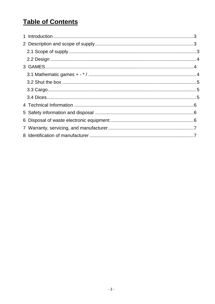# **Table of Contents**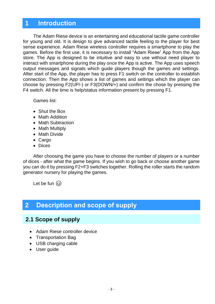### <span id="page-2-0"></span>**1 Introduction**

The Adam Riese device is an entertaining and educational tactile game controller for young and old. It is design to give advanced tactile feeling to the player for best sense experience. Adam Riese wireless controller requires a smartphone to play the games. Before the first use, it is necessary to install "Adam Riese" App from the App store. The App is designed to be intuitive and easy to use without need player to interact with smartphone during the play once the App is active. The App uses speech output messages and signals which guide players though the games and settings. After start of the App, the player has to press F1 switch on the controller to establish connection. Then the App shows a list of games and settings which the player can choose by pressing F2(UP/-) or F3(DOWN/+) and confirm the chose by pressing the F4 switch. All the time is help/status information present by pressing F1.

Games list:

- Shut the Box
- Math Addition
- Math Subtraction
- Math Multiply
- Math Divide
- Cargo
- Dices

After choosing the game you have to choose the number of players or a number of dices - after what the game begins. If you wish to go back or choose another game you can do it by pressing F2+F3 switches together. Rolling the roller starts the random generator nursery for playing the games.

Let be fun  $\circled{c}$ 

## <span id="page-2-1"></span>**2 Description and scope of supply**

#### <span id="page-2-2"></span>**2.1 Scope of supply**

- Adam Riese controller device
- Transportation Bag
- USB charging cable
- User guide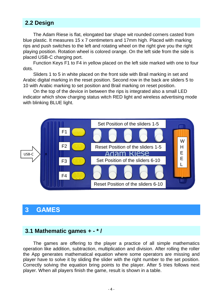#### <span id="page-3-0"></span>**2.2 Design**

The Adam Riese is flat, elongated bar shape wit rounded corners casted from blue plastic. It measures 15 x 7 centimeters and 17mm high. Placed with marking rips and push switches to the left and rotating wheel on the right give you the right playing position. Rotation wheel is colored orange. On the left side from the side is placed USB-C charging port.

Function Keys F1 to F4 in yellow placed on the left side marked with one to four dots.

Sliders 1 to 5 in white placed on the front side with Brail marking in set and Arabic digital marking in the reset position. Second row in the back are sliders 5 to 10 with Arabic marking to set position and Brail marking on reset position.

On the top of the device in between the rips is integrated also a small LED indicator which show charging status witch RED light and wireless advertising mode with blinking BLUE light.



#### <span id="page-3-1"></span>**3 GAMES**

#### <span id="page-3-2"></span>**3.1 Mathematic games + - \* /**

The games are offering to the player a practice of all simple mathematics operation like addition, subtraction, multiplication and division. After rolling the roller the App generates mathematical equation where some operators are missing and player have to solve it by sliding the slider with the right number to the set position. Correctly solving the equation bring points to the player. After 5 tries follows next player. When all players finish the game, result is shown in a table.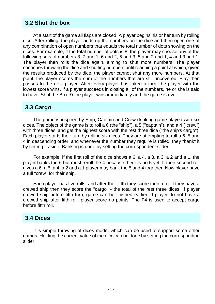#### <span id="page-4-0"></span>**3.2 Shut the box**

At a start of the game all flaps are closed. A player begins his or her turn by rolling dice. After rolling, the player adds up the numbers on the dice and then open one of any combination of open numbers that equals the total number of dots showing on the dices. For example, if the total number of dots is 8, the player may choose any of the following sets of numbers  $8, 7$  and  $1, 6$  and  $2, 5$  and  $3, 5$  and  $2$  and  $1, 4$  and  $3$  and  $1$ . The player then rolls the dice again, aiming to shut more numbers. The player continues throwing the dice and shutting numbers until reaching a point at which, given the results produced by the dice, the player cannot shut any more numbers. At that point, the player scores the sum of the numbers that are still uncovered. Play then passes to the next player. After every player has taken a turn, the player with the lowest score wins. If a player succeeds in closing all of the numbers, he or she is said to have 'Shut the Box' Ð the player wins immediately and the game is over.

#### <span id="page-4-1"></span>**3.3 Cargo**

The game is inspired by Ship, Captain and Crew drinking game played with six dices. The object of the game is to roll a 6 (the "ship"), a 5 ("captain"), and a 4 ("crew") with three dices, and get the highest score with the rest three dice ("the ship's cargo"). Each player starts their turn by rolling six dices. They are attempting to roll a 6, 5 and 4 in descending order, and whenever the number they require is rolled, they "bank" it by setting it aside. Banking is done by setting the correspondent slider.

For example, if the first roll of the dice shows a 6, a 4, a 3, a 3, a 2 and a 1, the player banks the 6 but must reroll the 4 because there is no 5 yet. If their second roll gives a 6, a 5, a 4, a 2 and a 1 player may bank the 5 and 4 together. Now player have a full "crew" for their ship.

Each player has five rolls, and after their fifth they score their turn. If they have a crewed ship then they score the "cargo" - the total of the rest three dices. If player crewed ship before fifth turn, game can be finished earlier. If player do not have a crewed ship after fifth roll, player score no points. The F4 is used to accept cargo before fifth roll.

#### <span id="page-4-2"></span>**3.4 Dices**

It is simple throwing of dices mode, which can be used to support some other games. Holding the current value of the dice can be done by setting the corresponding slider.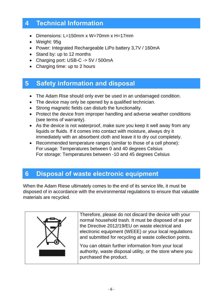## <span id="page-5-0"></span>**4 Technical Information**

- Dimensions: L=150mm x W=70mm x H=17mm
- Weight: 95g
- Power: Integrated Rechargeable LiPo battery 3,7V / 160mA
- Stand by: up to 12 months
- Charging port: USB-C -> 5V / 500mA
- Charging time: up to 2 hours

# <span id="page-5-1"></span>**5 Safety information and disposal**

- The Adam Rise should only ever be used in an undamaged condition.
- The device may only be opened by a qualified technician.
- Strong magnetic fields can disturb the functionality.
- Protect the device from improper handling and adverse weather conditions (see terms of warranty).
- As the device is not waterproof, make sure you keep it well away from any liquids or fluids. If it comes into contact with moisture, always dry it immediately with an absorbent cloth and leave it to dry out completely.
- Recommended temperature ranges (similar to those of a cell phone): For usage: Temperatures between 0 and 40 degrees Celsius For storage: Temperatures between -10 and 45 degrees Celsius

## <span id="page-5-2"></span>**6 Disposal of waste electronic equipment**

When the Adam Riese ultimately comes to the end of its service life, it must be disposed of in accordance with the environmental regulations to ensure that valuable materials are recycled.